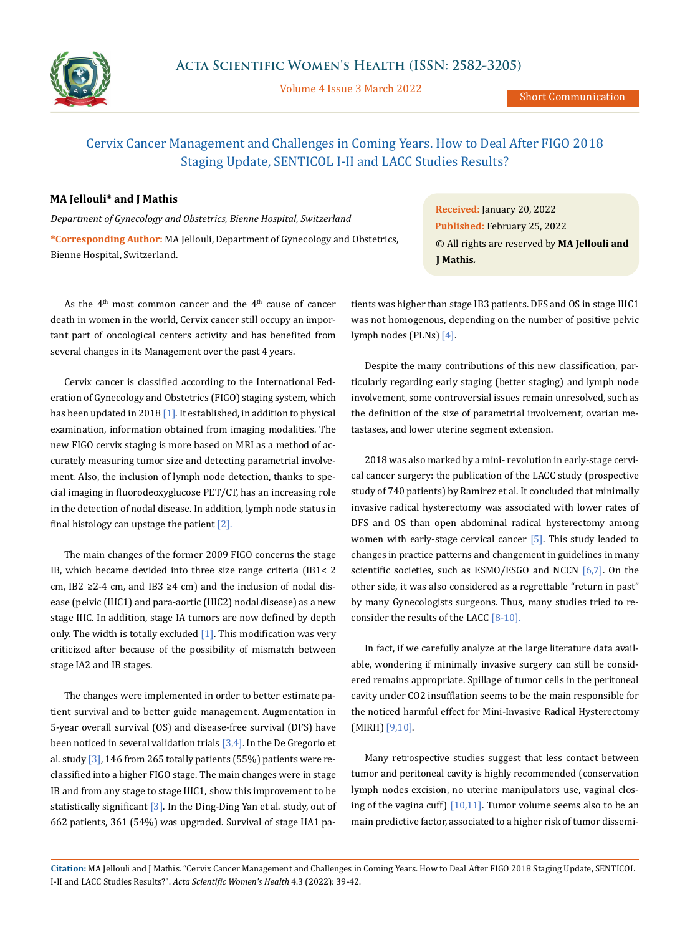

Volume 4 Issue 3 March 2022

Short Communication

# Cervix Cancer Management and Challenges in Coming Years. How to Deal After FIGO 2018 Staging Update, SENTICOL I-II and LACC Studies Results?

## **MA Jellouli\* and J Mathis**

*Department of Gynecology and Obstetrics, Bienne Hospital, Switzerland* **\*Corresponding Author:** MA Jellouli, Department of Gynecology and Obstetrics, Bienne Hospital, Switzerland.

As the  $4<sup>th</sup>$  most common cancer and the  $4<sup>th</sup>$  cause of cancer death in women in the world, Cervix cancer still occupy an important part of oncological centers activity and has benefited from several changes in its Management over the past 4 years.

Cervix cancer is classified according to the International Federation of Gynecology and Obstetrics (FIGO) staging system, which has been updated in 2018  $\left[1\right]$ . It established, in addition to physical examination, information obtained from imaging modalities. The new FIGO cervix staging is more based on MRI as a method of accurately measuring tumor size and detecting parametrial involvement. Also, the inclusion of lymph node detection, thanks to special imaging in fluorodeoxyglucose PET/CT, has an increasing role in the detection of nodal disease. In addition, lymph node status in final histology can upstage the patient  $[2]$ .

The main changes of the former 2009 FIGO concerns the stage IB, which became devided into three size range criteria (IB1< 2 cm, IB2  $\geq$ 2-4 cm, and IB3  $\geq$ 4 cm) and the inclusion of nodal disease (pelvic (IIIC1) and para-aortic (IIIC2) nodal disease) as a new stage IIIC. In addition, stage IA tumors are now defined by depth only. The width is totally excluded  $[1]$ . This modification was very criticized after because of the possibility of mismatch between stage IA2 and IB stages.

The changes were implemented in order to better estimate patient survival and to better guide management. Augmentation in 5-year overall survival (OS) and disease-free survival (DFS) have been noticed in several validation trials  $[3,4]$ . In the De Gregorio et al. study  $\left[3\right]$ , 146 from 265 totally patients (55%) patients were reclassified into a higher FIGO stage. The main changes were in stage IB and from any stage to stage IIIC1, show this improvement to be statistically significant  $[3]$ . In the Ding-Ding Yan et al. study, out of 662 patients, 361 (54%) was upgraded. Survival of stage IIA1 pa-

**Received:** January 20, 2022 **Published:** February 25, 2022 © All rights are reserved by **MA Jellouli and J Mathis***.*

tients was higher than stage IB3 patients. DFS and OS in stage IIIC1 was not homogenous, depending on the number of positive pelvic lymph nodes (PLNs) [4].

Despite the many contributions of this new classification, particularly regarding early staging (better staging) and lymph node involvement, some controversial issues remain unresolved, such as the definition of the size of parametrial involvement, ovarian metastases, and lower uterine segment extension.

2018 was also marked by a mini- revolution in early-stage cervical cancer surgery: the publication of the LACC study (prospective study of 740 patients) by Ramirez et al. It concluded that minimally invasive radical hysterectomy was associated with lower rates of DFS and OS than open abdominal radical hysterectomy among women with early-stage cervical cancer [5]. This study leaded to changes in practice patterns and changement in guidelines in many scientific societies, such as  $ESMO/ESGO$  and NCCN  $[6,7]$ . On the other side, it was also considered as a regrettable "return in past" by many Gynecologists surgeons. Thus, many studies tried to reconsider the results of the LACC [8-10].

In fact, if we carefully analyze at the large literature data available, wondering if minimally invasive surgery can still be considered remains appropriate. Spillage of tumor cells in the peritoneal cavity under CO2 insufflation seems to be the main responsible for the noticed harmful effect for Mini-Invasive Radical Hysterectomy (MIRH) [9,10].

Many retrospective studies suggest that less contact between tumor and peritoneal cavity is highly recommended (conservation lymph nodes excision, no uterine manipulators use, vaginal closing of the vagina cuff)  $[10,11]$ . Tumor volume seems also to be an main predictive factor, associated to a higher risk of tumor dissemi-

**Citation:** MA Jellouli and J Mathis*.* "Cervix Cancer Management and Challenges in Coming Years. How to Deal After FIGO 2018 Staging Update, SENTICOL I-II and LACC Studies Results?". *Acta Scientific Women's Health* 4.3 (2022): 39-42.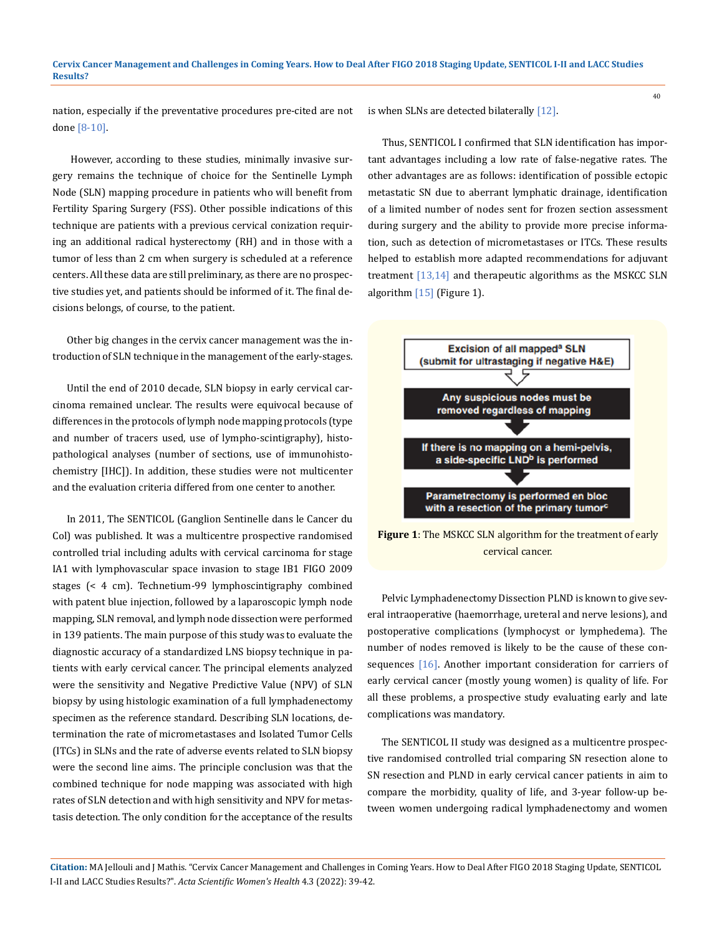nation, especially if the preventative procedures pre-cited are not done [8-10].

 However, according to these studies, minimally invasive surgery remains the technique of choice for the Sentinelle Lymph Node (SLN) mapping procedure in patients who will benefit from Fertility Sparing Surgery (FSS). Other possible indications of this technique are patients with a previous cervical conization requiring an additional radical hysterectomy (RH) and in those with a tumor of less than 2 cm when surgery is scheduled at a reference centers. All these data are still preliminary, as there are no prospective studies yet, and patients should be informed of it. The final decisions belongs, of course, to the patient.

Other big changes in the cervix cancer management was the introduction of SLN technique in the management of the early-stages.

Until the end of 2010 decade, SLN biopsy in early cervical carcinoma remained unclear. The results were equivocal because of differences in the protocols of lymph node mapping protocols (type and number of tracers used, use of lympho-scintigraphy), histopathological analyses (number of sections, use of immunohistochemistry [IHC]). In addition, these studies were not multicenter and the evaluation criteria differed from one center to another.

In 2011, The SENTICOL (Ganglion Sentinelle dans le Cancer du Col) was published. It was a multicentre prospective randomised controlled trial including adults with cervical carcinoma for stage IA1 with lymphovascular space invasion to stage IB1 FIGO 2009 stages (< 4 cm). Technetium-99 lymphoscintigraphy combined with patent blue injection, followed by a laparoscopic lymph node mapping, SLN removal, and lymph node dissection were performed in 139 patients. The main purpose of this study was to evaluate the diagnostic accuracy of a standardized LNS biopsy technique in patients with early cervical cancer. The principal elements analyzed were the sensitivity and Negative Predictive Value (NPV) of SLN biopsy by using histologic examination of a full lymphadenectomy specimen as the reference standard. Describing SLN locations, determination the rate of micrometastases and Isolated Tumor Cells (ITCs) in SLNs and the rate of adverse events related to SLN biopsy were the second line aims. The principle conclusion was that the combined technique for node mapping was associated with high rates of SLN detection and with high sensitivity and NPV for metastasis detection. The only condition for the acceptance of the results

is when SLNs are detected bilaterally [12].

Thus, SENTICOL I confirmed that SLN identification has important advantages including a low rate of false-negative rates. The other advantages are as follows: identification of possible ectopic metastatic SN due to aberrant lymphatic drainage, identification of a limited number of nodes sent for frozen section assessment during surgery and the ability to provide more precise information, such as detection of micrometastases or ITCs. These results helped to establish more adapted recommendations for adjuvant treatment [13,14] and therapeutic algorithms as the MSKCC SLN algorithm [15] (Figure 1).

40



**Figure 1**: The MSKCC SLN algorithm for the treatment of early cervical cancer.

Pelvic Lymphadenectomy Dissection PLND is known to give several intraoperative (haemorrhage, ureteral and nerve lesions), and postoperative complications (lymphocyst or lymphedema). The number of nodes removed is likely to be the cause of these consequences [16]. Another important consideration for carriers of early cervical cancer (mostly young women) is quality of life. For all these problems, a prospective study evaluating early and late complications was mandatory.

The SENTICOL II study was designed as a multicentre prospective randomised controlled trial comparing SN resection alone to SN resection and PLND in early cervical cancer patients in aim to compare the morbidity, quality of life, and 3-year follow-up between women undergoing radical lymphadenectomy and women

**Citation:** MA Jellouli and J Mathis*.* "Cervix Cancer Management and Challenges in Coming Years. How to Deal After FIGO 2018 Staging Update, SENTICOL I-II and LACC Studies Results?". *Acta Scientific Women's Health* 4.3 (2022): 39-42.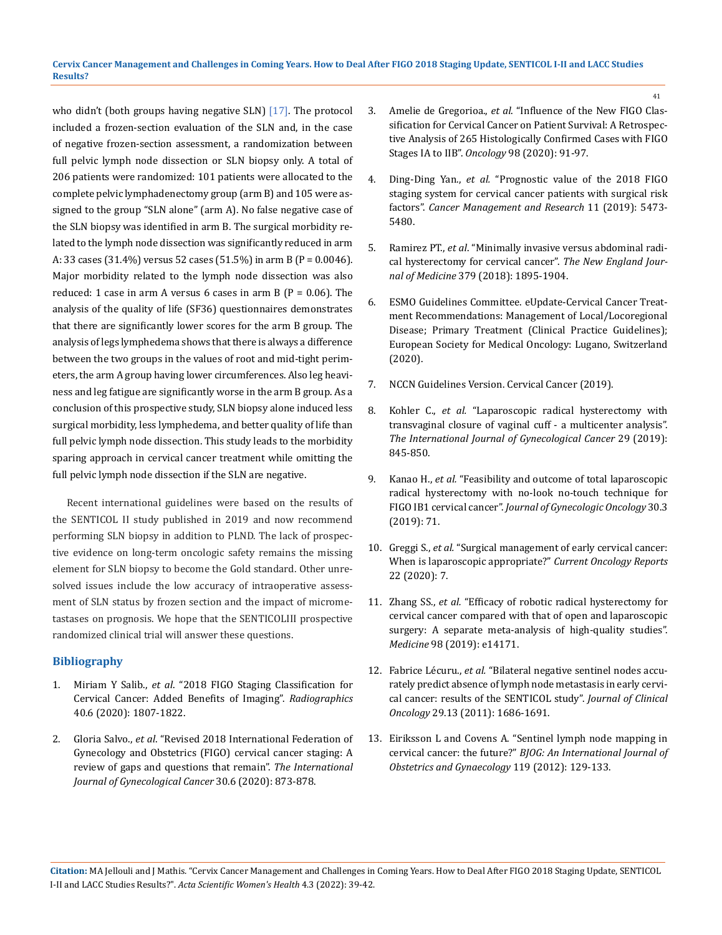who didn't (both groups having negative SLN) [17]. The protocol included a frozen-section evaluation of the SLN and, in the case of negative frozen-section assessment, a randomization between full pelvic lymph node dissection or SLN biopsy only. A total of 206 patients were randomized: 101 patients were allocated to the complete pelvic lymphadenectomy group (arm B) and 105 were assigned to the group "SLN alone" (arm A). No false negative case of the SLN biopsy was identified in arm B. The surgical morbidity related to the lymph node dissection was significantly reduced in arm A: 33 cases (31.4%) versus 52 cases (51.5%) in arm B (P = 0.0046). Major morbidity related to the lymph node dissection was also reduced: 1 case in arm A versus 6 cases in arm B  $(P = 0.06)$ . The analysis of the quality of life (SF36) questionnaires demonstrates that there are significantly lower scores for the arm B group. The analysis of legs lymphedema shows that there is always a difference between the two groups in the values of root and mid-tight perimeters, the arm A group having lower circumferences. Also leg heaviness and leg fatigue are significantly worse in the arm B group. As a conclusion of this prospective study, SLN biopsy alone induced less surgical morbidity, less lymphedema, and better quality of life than full pelvic lymph node dissection. This study leads to the morbidity sparing approach in cervical cancer treatment while omitting the full pelvic lymph node dissection if the SLN are negative.

Recent international guidelines were based on the results of the SENTICOL II study published in 2019 and now recommend performing SLN biopsy in addition to PLND. The lack of prospective evidence on long-term oncologic safety remains the missing element for SLN biopsy to become the Gold standard. Other unresolved issues include the low accuracy of intraoperative assessment of SLN status by frozen section and the impact of micrometastases on prognosis. We hope that the SENTICOLIII prospective randomized clinical trial will answer these questions.

### **Bibliography**

- 1. Miriam Y Salib., *et al*[. "2018 FIGO Staging Classification for](https://pubs.rsna.org/doi/full/10.1148/rg.2020200013)  [Cervical Cancer: Added Benefits of Imaging".](https://pubs.rsna.org/doi/full/10.1148/rg.2020200013) *Radiographics* [40.6 \(2020\): 1807-1822.](https://pubs.rsna.org/doi/full/10.1148/rg.2020200013)
- 2. Gloria Salvo., *et al*[. "Revised 2018 International Federation of](https://pubmed.ncbi.nlm.nih.gov/32241876/)  [Gynecology and Obstetrics \(FIGO\) cervical cancer staging: A](https://pubmed.ncbi.nlm.nih.gov/32241876/)  [review of gaps and questions that remain".](https://pubmed.ncbi.nlm.nih.gov/32241876/) *The International [Journal of Gynecological Cancer](https://pubmed.ncbi.nlm.nih.gov/32241876/)* 30.6 (2020): 873-878.
- 3. Amelie de Gregorioa., *et al*[. "Influence of the New FIGO Clas](https://pubmed.ncbi.nlm.nih.gov/31593942/)[sification for Cervical Cancer on Patient Survival: A Retrospec](https://pubmed.ncbi.nlm.nih.gov/31593942/)[tive Analysis of 265 Histologically Confirmed Cases with FIGO](https://pubmed.ncbi.nlm.nih.gov/31593942/)  Stages IA to IIB". *Oncology* [98 \(2020\): 91-97.](https://pubmed.ncbi.nlm.nih.gov/31593942/)
- 4. Ding-Ding Yan., *et al.* ["Prognostic value of the 2018 FIGO](https://www.ncbi.nlm.nih.gov/pmc/articles/PMC6574868/)  [staging system for cervical cancer patients with surgical risk](https://www.ncbi.nlm.nih.gov/pmc/articles/PMC6574868/)  factors". *[Cancer Management and Research](https://www.ncbi.nlm.nih.gov/pmc/articles/PMC6574868/)* 11 (2019): 5473- [5480.](https://www.ncbi.nlm.nih.gov/pmc/articles/PMC6574868/)
- 5. Ramirez PT., *et al*[. "Minimally invasive versus abdominal radi](https://www.nejm.org/doi/full/10.1056/nejmoa1806395)[cal hysterectomy for cervical cancer".](https://www.nejm.org/doi/full/10.1056/nejmoa1806395) *The New England Journal of Medicine* [379 \(2018\): 1895-1904.](https://www.nejm.org/doi/full/10.1056/nejmoa1806395)
- 6. [ESMO Guidelines Committee. eUpdate-Cervical Cancer Treat](https://www.esmo.org/guidelines/gynaecological-cancers/cervical-cancer/eupdate-cervical-cancer-treatment-recommendations)[ment Recommendations: Management of Local/Locoregional](https://www.esmo.org/guidelines/gynaecological-cancers/cervical-cancer/eupdate-cervical-cancer-treatment-recommendations)  [Disease; Primary Treatment \(Clinical Practice Guidelines\);](https://www.esmo.org/guidelines/gynaecological-cancers/cervical-cancer/eupdate-cervical-cancer-treatment-recommendations)  [European Society for Medical Oncology: Lugano, Switzerland](https://www.esmo.org/guidelines/gynaecological-cancers/cervical-cancer/eupdate-cervical-cancer-treatment-recommendations)  [\(2020\).](https://www.esmo.org/guidelines/gynaecological-cancers/cervical-cancer/eupdate-cervical-cancer-treatment-recommendations)
- 7. NCCN Guidelines Version. Cervical Cancer (2019).
- 8. Kohler C., *et al.* ["Laparoscopic radical hysterectomy with](https://www.pristyncare.com/gp/hysterectomy-laparo-surgery-hyderabad/?utm_source=google&utm_medium=cpc&campaign_id=11044867143&adgroup_id=125656201378&Keyword_Id=kwd-1218415358351&Network=g&Device=c&Matchtype=b&Location=9062134&Keyword=%2Bhysterectomy%20%2Blaparoscopic&Placement=&Ad_Position=&gcl_Id=CjwKCAiAsNKQBhAPEiwAB-I5zViisw4IMRlWL5SCKYBsbrSgQ8zxfWIs7Yl_kNQfqnZx7KzqY3_UmhoCQ9EQAvD_BwE&gclid=CjwKCAiAsNKQBhAPEiwAB-I5zViisw4IMRlWL5SCKYBsbrSgQ8zxfWIs7Yl_kNQfqnZx7KzqY3_UmhoCQ9EQAvD_BwE)  [transvaginal closure of vaginal cuff - a multicenter analysis".](https://www.pristyncare.com/gp/hysterectomy-laparo-surgery-hyderabad/?utm_source=google&utm_medium=cpc&campaign_id=11044867143&adgroup_id=125656201378&Keyword_Id=kwd-1218415358351&Network=g&Device=c&Matchtype=b&Location=9062134&Keyword=%2Bhysterectomy%20%2Blaparoscopic&Placement=&Ad_Position=&gcl_Id=CjwKCAiAsNKQBhAPEiwAB-I5zViisw4IMRlWL5SCKYBsbrSgQ8zxfWIs7Yl_kNQfqnZx7KzqY3_UmhoCQ9EQAvD_BwE&gclid=CjwKCAiAsNKQBhAPEiwAB-I5zViisw4IMRlWL5SCKYBsbrSgQ8zxfWIs7Yl_kNQfqnZx7KzqY3_UmhoCQ9EQAvD_BwE)  *[The International Journal of Gynecological Cancer](https://www.pristyncare.com/gp/hysterectomy-laparo-surgery-hyderabad/?utm_source=google&utm_medium=cpc&campaign_id=11044867143&adgroup_id=125656201378&Keyword_Id=kwd-1218415358351&Network=g&Device=c&Matchtype=b&Location=9062134&Keyword=%2Bhysterectomy%20%2Blaparoscopic&Placement=&Ad_Position=&gcl_Id=CjwKCAiAsNKQBhAPEiwAB-I5zViisw4IMRlWL5SCKYBsbrSgQ8zxfWIs7Yl_kNQfqnZx7KzqY3_UmhoCQ9EQAvD_BwE&gclid=CjwKCAiAsNKQBhAPEiwAB-I5zViisw4IMRlWL5SCKYBsbrSgQ8zxfWIs7Yl_kNQfqnZx7KzqY3_UmhoCQ9EQAvD_BwE)* 29 (2019): [845-850.](https://www.pristyncare.com/gp/hysterectomy-laparo-surgery-hyderabad/?utm_source=google&utm_medium=cpc&campaign_id=11044867143&adgroup_id=125656201378&Keyword_Id=kwd-1218415358351&Network=g&Device=c&Matchtype=b&Location=9062134&Keyword=%2Bhysterectomy%20%2Blaparoscopic&Placement=&Ad_Position=&gcl_Id=CjwKCAiAsNKQBhAPEiwAB-I5zViisw4IMRlWL5SCKYBsbrSgQ8zxfWIs7Yl_kNQfqnZx7KzqY3_UmhoCQ9EQAvD_BwE&gclid=CjwKCAiAsNKQBhAPEiwAB-I5zViisw4IMRlWL5SCKYBsbrSgQ8zxfWIs7Yl_kNQfqnZx7KzqY3_UmhoCQ9EQAvD_BwE)
- 9. Kanao H., *et al.* ["Feasibility and outcome of total laparoscopic](https://pubmed.ncbi.nlm.nih.gov/30887768/)  [radical hysterectomy with no-look no-touch technique for](https://pubmed.ncbi.nlm.nih.gov/30887768/)  FIGO IB1 cervical cancer". *[Journal of Gynecologic Oncology](https://pubmed.ncbi.nlm.nih.gov/30887768/)* 30.3 [\(2019\): 71.](https://pubmed.ncbi.nlm.nih.gov/30887768/)
- 10. Greggi S., *et al.* ["Surgical management of early cervical cancer:](https://pubmed.ncbi.nlm.nih.gov/31989322/)  [When is laparoscopic appropriate?"](https://pubmed.ncbi.nlm.nih.gov/31989322/) *Current Oncology Reports* [22 \(2020\): 7.](https://pubmed.ncbi.nlm.nih.gov/31989322/)
- 11. Zhang SS., *et al.* ["Efficacy of robotic radical hysterectomy for](https://pubmed.ncbi.nlm.nih.gov/30681582/)  [cervical cancer compared with that of open and laparoscopic](https://pubmed.ncbi.nlm.nih.gov/30681582/)  [surgery: A separate meta-analysis of high-quality studies".](https://pubmed.ncbi.nlm.nih.gov/30681582/)  *Medicine* [98 \(2019\): e14171.](https://pubmed.ncbi.nlm.nih.gov/30681582/)
- 12. Fabrice Lécuru., *et al.* ["Bilateral negative sentinel nodes accu](https://pubmed.ncbi.nlm.nih.gov/21444878/)[rately predict absence of lymph node metastasis in early cervi](https://pubmed.ncbi.nlm.nih.gov/21444878/)[cal cancer: results of the SENTICOL study".](https://pubmed.ncbi.nlm.nih.gov/21444878/) *Journal of Clinical Oncology* [29.13 \(2011\): 1686-1691.](https://pubmed.ncbi.nlm.nih.gov/21444878/)
- 13. [Eiriksson L and Covens A. "Sentinel lymph node mapping in](https://pubmed.ncbi.nlm.nih.gov/21917113/)  cervical cancer: the future?" *[BJOG: An International Journal of](https://pubmed.ncbi.nlm.nih.gov/21917113/)  [Obstetrics and Gynaecology](https://pubmed.ncbi.nlm.nih.gov/21917113/)* 119 (2012): 129-133.

41